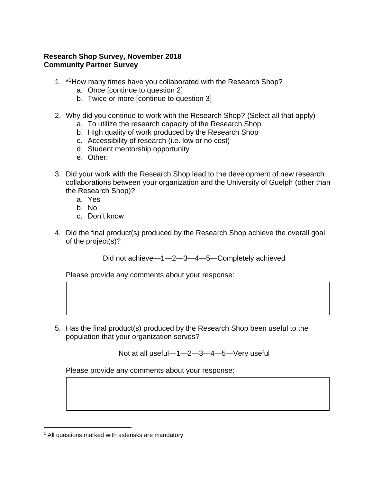## **Research Shop Survey, November 2018 Community Partner Survey**

- 1. \*1How many times have you collaborated with the Research Shop?
	- a. Once [continue to question 2]
	- b. Twice or more [continue to question 3]
- 2. Why did you continue to work with the Research Shop? (Select all that apply)
	- a. To utilize the research capacity of the Research Shop
	- b. High quality of work produced by the Research Shop
	- c. Accessibility of research (i.e. low or no cost)
	- d. Student mentorship opportunity
	- e. Other:
- 3. Did your work with the Research Shop lead to the development of new research collaborations between your organization and the University of Guelph (other than the Research Shop)?
	- a. Yes
	- b. No
	- c. Don't know
- 4. Did the final product(s) produced by the Research Shop achieve the overall goal of the project(s)?

Did not achieve—1—2—3—4—5—Completely achieved

Please provide any comments about your response:

5. Has the final product(s) produced by the Research Shop been useful to the population that your organization serves?

Not at all useful—1—2—3—4—5—Very useful

Please provide any comments about your response:

<sup>&</sup>lt;sup>1</sup> All questions marked with asterisks are mandatory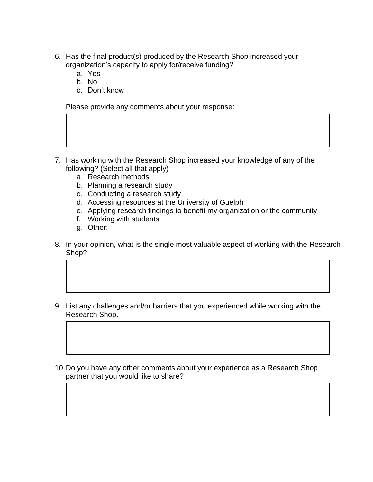- 6. Has the final product(s) produced by the Research Shop increased your organization's capacity to apply for/receive funding?
	- a. Yes
	- b. No
	- c. Don't know

Please provide any comments about your response:

- 7. Has working with the Research Shop increased your knowledge of any of the following? (Select all that apply)
	- a. Research methods
	- b. Planning a research study
	- c. Conducting a research study
	- d. Accessing resources at the University of Guelph
	- e. Applying research findings to benefit my organization or the community
	- f. Working with students
	- g. Other:
- 8. In your opinion, what is the single most valuable aspect of working with the Research Shop?
- 9. List any challenges and/or barriers that you experienced while working with the Research Shop.
- 10.Do you have any other comments about your experience as a Research Shop partner that you would like to share?